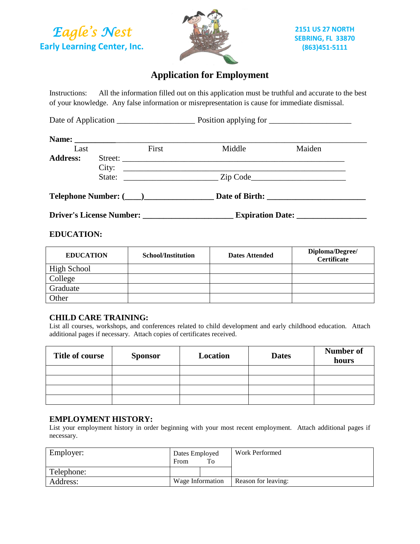*Eagle's Nest*  **Early Learning Center, Inc.**



# **Application for Employment**

Instructions: All the information filled out on this application must be truthful and accurate to the best of your knowledge. Any false information or misrepresentation is cause for immediate dismissal.

Date of Application \_\_\_\_\_\_\_\_\_\_\_\_\_\_\_\_\_\_\_ Position applying for \_\_\_\_\_\_\_\_\_\_\_\_\_\_\_\_\_\_\_\_

| Last                       |                            | First | Middle         | Maiden |
|----------------------------|----------------------------|-------|----------------|--------|
| <b>Address:</b>            | Street:<br>City:<br>State: |       |                |        |
| <b>Telephone Number: (</b> |                            |       | Date of Birth: |        |

**Driver's License Number: \_\_\_\_\_\_\_\_\_\_\_\_\_\_\_\_\_\_\_\_\_\_ Expiration Date: \_\_\_\_\_\_\_\_\_\_\_\_\_\_\_\_\_**

### **EDUCATION:**

| <b>EDUCATION</b> | <b>School/Institution</b> | <b>Dates Attended</b> | Diploma/Degree/<br><b>Certificate</b> |
|------------------|---------------------------|-----------------------|---------------------------------------|
| High School      |                           |                       |                                       |
| <b>College</b>   |                           |                       |                                       |
| Graduate         |                           |                       |                                       |
| Other            |                           |                       |                                       |

### **CHILD CARE TRAINING:**

List all courses, workshops, and conferences related to child development and early childhood education. Attach additional pages if necessary. Attach copies of certificates received.

| Title of course | <b>Sponsor</b> | Location | <b>Dates</b> | Number of<br>hours |
|-----------------|----------------|----------|--------------|--------------------|
|                 |                |          |              |                    |
|                 |                |          |              |                    |
|                 |                |          |              |                    |
|                 |                |          |              |                    |

### **EMPLOYMENT HISTORY:**

List your employment history in order beginning with your most recent employment. Attach additional pages if necessary.

| Employer:  | Dates Employed<br>To<br>From |  | Work Performed      |
|------------|------------------------------|--|---------------------|
| Telephone: |                              |  |                     |
| Address:   | Wage Information             |  | Reason for leaving: |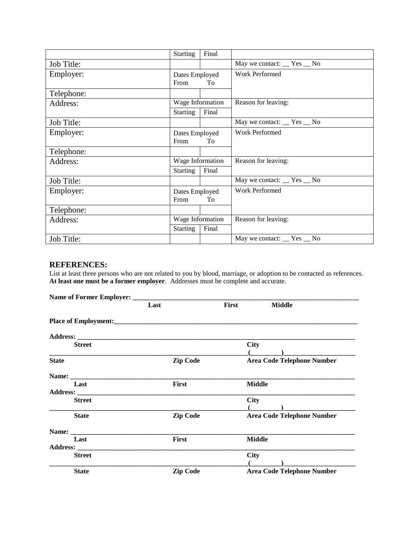|            | <b>Starting</b>              | Final |                              |  |
|------------|------------------------------|-------|------------------------------|--|
| Job Title: |                              |       | May we contact: __ Yes __ No |  |
| Employer:  | Dates Employed<br>From<br>To |       | <b>Work Performed</b>        |  |
| Telephone: |                              |       |                              |  |
| Address:   | Wage Information             |       | Reason for leaving:          |  |
|            | <b>Starting</b>              | Final |                              |  |
| Job Title: |                              |       | May we contact: __ Yes __ No |  |
| Employer:  | Dates Employed<br>From<br>To |       | <b>Work Performed</b>        |  |
| Telephone: |                              |       |                              |  |
| Address:   | Wage Information             |       | Reason for leaving:          |  |
|            | <b>Starting</b>              | Final |                              |  |
| Job Title: |                              |       | May we contact: __ Yes __ No |  |
| Employer:  | Dates Employed<br>From<br>To |       | <b>Work Performed</b>        |  |
| Telephone: |                              |       |                              |  |
| Address:   | Wage Information             |       | Reason for leaving:          |  |
|            | <b>Starting</b>              | Final |                              |  |
| Job Title: |                              |       | May we contact: __ Yes __ No |  |

## **REFERENCES:**

List at least three persons who are not related to you by blood, marriage, or adoption to be contacted as references. **At least one must be a former employer**. Addresses must be complete and accurate.

|                     | Last            | First | <b>Middle</b>                     |
|---------------------|-----------------|-------|-----------------------------------|
|                     |                 |       |                                   |
|                     |                 |       |                                   |
| <b>Street</b>       |                 |       | <b>City</b>                       |
| <b>State</b>        | <b>Zip Code</b> |       | <b>Area Code Telephone Number</b> |
|                     |                 |       |                                   |
| Last                | <b>First</b>    |       | <b>Middle</b>                     |
|                     |                 |       |                                   |
| <b>Street</b>       |                 |       | <b>City</b>                       |
| <b>State</b>        | <b>Zip Code</b> |       | <b>Area Code Telephone Number</b> |
|                     |                 |       |                                   |
| Last                | <b>First</b>    |       | <b>Middle</b>                     |
| Address: __________ |                 |       |                                   |
| <b>Street</b>       |                 |       | <b>City</b>                       |
|                     |                 |       |                                   |
| <b>State</b>        | <b>Zip Code</b> |       | <b>Area Code Telephone Number</b> |